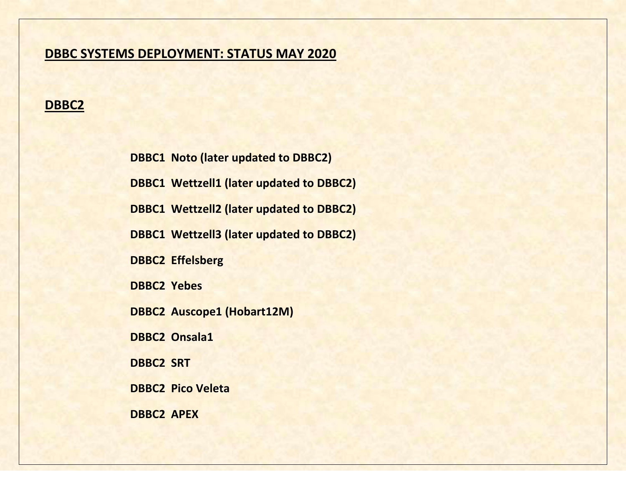# **DBBC SYSTEMS DEPLOYMENT: STATUS MAY 2020**

### **DBBC2**

**DBBC1 Noto (later updated to DBBC2) DBBC1 Wettzell1 (later updated to DBBC2) DBBC1 Wettzell2 (later updated to DBBC2) DBBC1 Wettzell3 (later updated to DBBC2) DBBC2 Effelsberg DBBC2 Yebes DBBC2 Auscope1 (Hobart12M) DBBC2 Onsala1 DBBC2 SRT DBBC2 Pico Veleta DBBC2 APEX**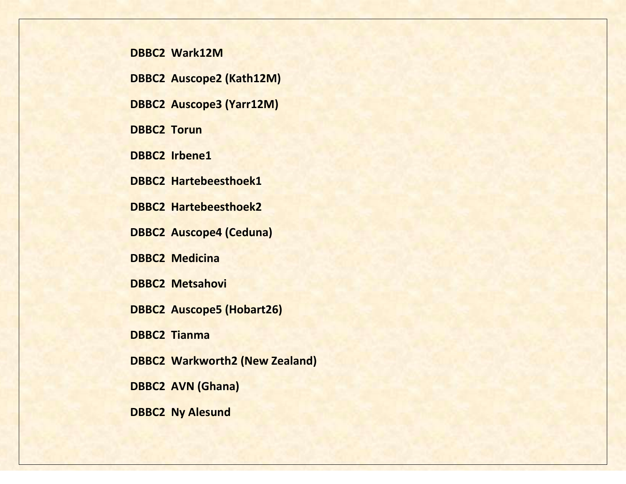#### **DBBC2 Wark12M**

**DBBC2 Auscope2 (Kath12M)**

**DBBC2 Auscope3 (Yarr12M)**

**DBBC2 Torun**

**DBBC2 Irbene1**

**DBBC2 Hartebeesthoek1**

**DBBC2 Hartebeesthoek2**

**DBBC2 Auscope4 (Ceduna)**

**DBBC2 Medicina**

**DBBC2 Metsahovi**

**DBBC2 Auscope5 (Hobart26)**

**DBBC2 Tianma**

**DBBC2 Warkworth2 (New Zealand)** 

**DBBC2 AVN (Ghana)** 

**DBBC2 Ny Alesund**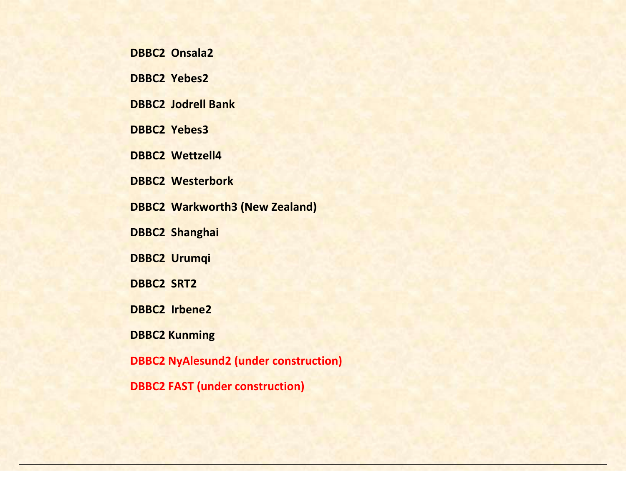**DBBC2 Onsala2**

**DBBC2 Yebes2**

**DBBC2 Jodrell Bank**

**DBBC2 Yebes3**

**DBBC2 Wettzell4**

**DBBC2 Westerbork**

**DBBC2 Warkworth3 (New Zealand)** 

**DBBC2 Shanghai**

**DBBC2 Urumqi**

**DBBC2 SRT2**

**DBBC2 Irbene2**

**DBBC2 Kunming**

**DBBC2 NyAlesund2 (under construction)**

**DBBC2 FAST (under construction)**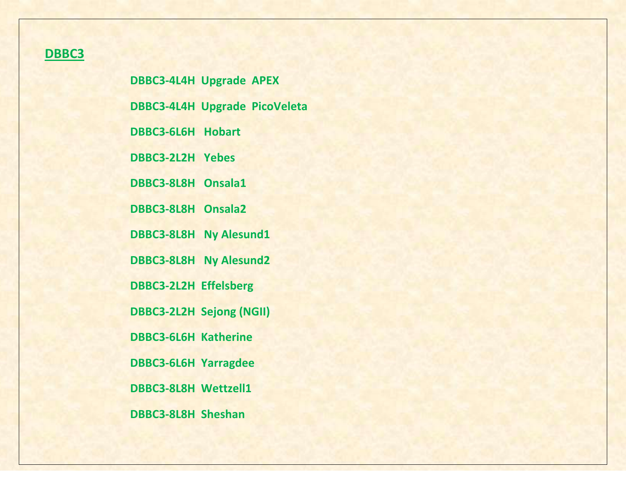# **DBBC3**

**DBBC3-4L4H Upgrade APEX DBBC3-4L4H Upgrade PicoVeleta DBBC3-6L6H Hobart DBBC3-2L2H Yebes DBBC3-8L8H Onsala1 DBBC3-8L8H Onsala2 DBBC3-8L8H Ny Alesund1 DBBC3-8L8H Ny Alesund2 DBBC3-2L2H Effelsberg DBBC3-2L2H Sejong (NGII) DBBC3-6L6H Katherine DBBC3-6L6H Yarragdee DBBC3-8L8H Wettzell1 DBBC3-8L8H Sheshan**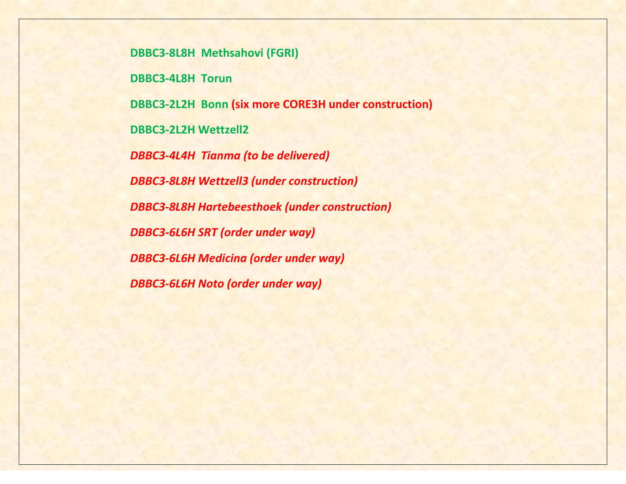**DBBC3-8L8H Methsahovi (FGRI) DBBC3-4L8H Torun DBBC3-2L2H Bonn (six more CORE3H under construction) DBBC3-2L2H Wettzell2** *DBBC3-4L4H Tianma (to be delivered) DBBC3-8L8H Wettzell3 (under construction) DBBC3-8L8H Hartebeesthoek (under construction) DBBC3-6L6H SRT (order under way) DBBC3-6L6H Medicina (order under way) DBBC3-6L6H Noto (order under way)*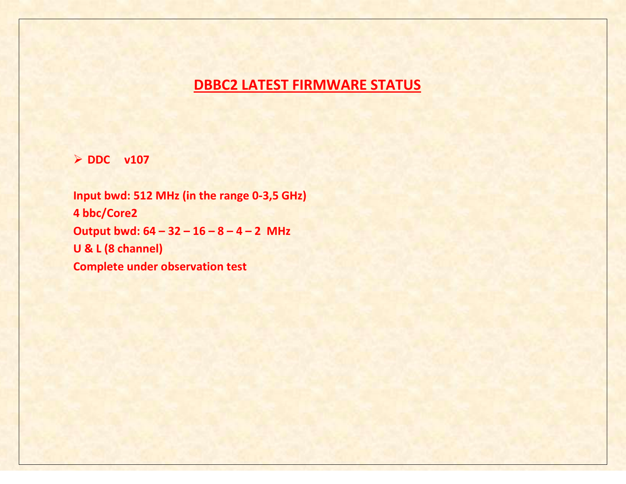# **DBBC2 LATEST FIRMWARE STATUS**

**DDC v107**

**Input bwd: 512 MHz (in the range 0-3,5 GHz) 4 bbc/Core2 Output bwd: 64 – 32 – 16 – 8 – 4 – 2 MHz U & L (8 channel) Complete under observation test**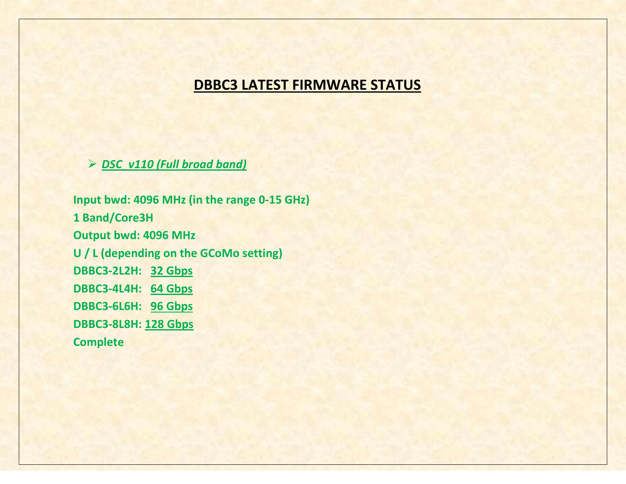# **DBBC3 LATEST FIRMWARE STATUS**

*DSC\_v110 (Full broad band)*

**Input bwd: 4096 MHz (in the range 0-15 GHz) 1 Band/Core3H Output bwd: 4096 MHz U / L (depending on the GCoMo setting) DBBC3-2L2H: 32 Gbps DBBC3-4L4H: 64 Gbps DBBC3-6L6H: 96 Gbps DBBC3-8L8H: 128 Gbps Complete**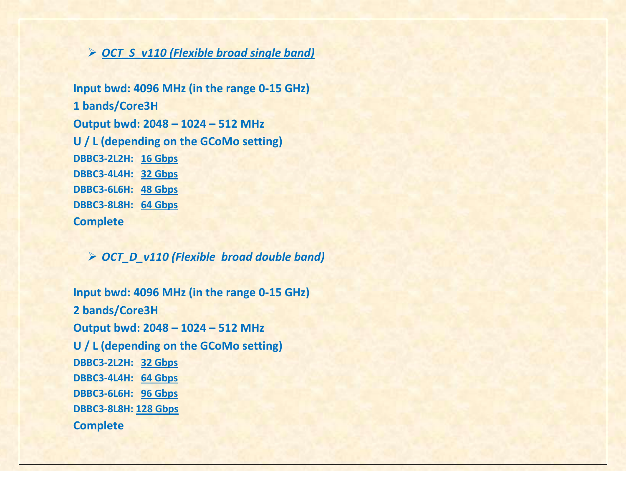# *OCT\_S\_v110 (Flexible broad single band)*

**Input bwd: 4096 MHz (in the range 0-15 GHz) 1 bands/Core3H Output bwd: 2048 – 1024 – 512 MHz U / L (depending on the GCoMo setting) DBBC3-2L2H: 16 Gbps DBBC3-4L4H: 32 Gbps DBBC3-6L6H: 48 Gbps DBBC3-8L8H: 64 Gbps Complete** 

#### *OCT\_D\_v110 (Flexible broad double band)*

**Input bwd: 4096 MHz (in the range 0-15 GHz) 2 bands/Core3H Output bwd: 2048 – 1024 – 512 MHz U / L (depending on the GCoMo setting) DBBC3-2L2H: 32 Gbps DBBC3-4L4H: 64 Gbps DBBC3-6L6H: 96 Gbps DBBC3-8L8H: 128 Gbps Complete**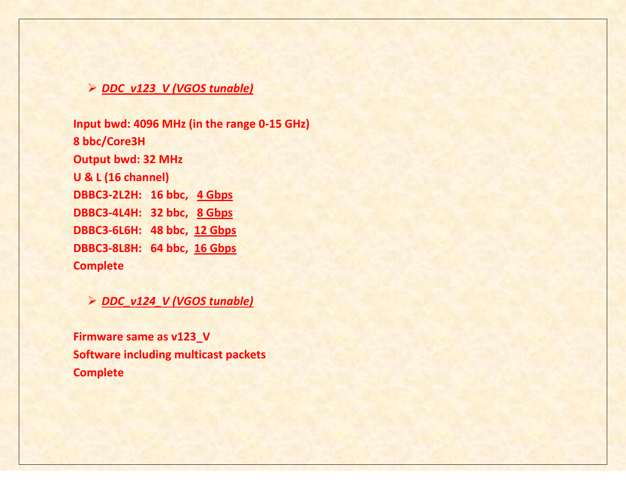### *DDC\_v123\_V (VGOS tunable)*

**Input bwd: 4096 MHz (in the range 0-15 GHz) 8 bbc/Core3H Output bwd: 32 MHz U & L (16 channel) DBBC3-2L2H: 16 bbc, 4 Gbps DBBC3-4L4H: 32 bbc, 8 Gbps DBBC3-6L6H: 48 bbc, 12 Gbps DBBC3-8L8H: 64 bbc, 16 Gbps Complete** 

*DDC\_v124\_V (VGOS tunable)*

**Firmware same as v123\_V Software including multicast packets Complete**